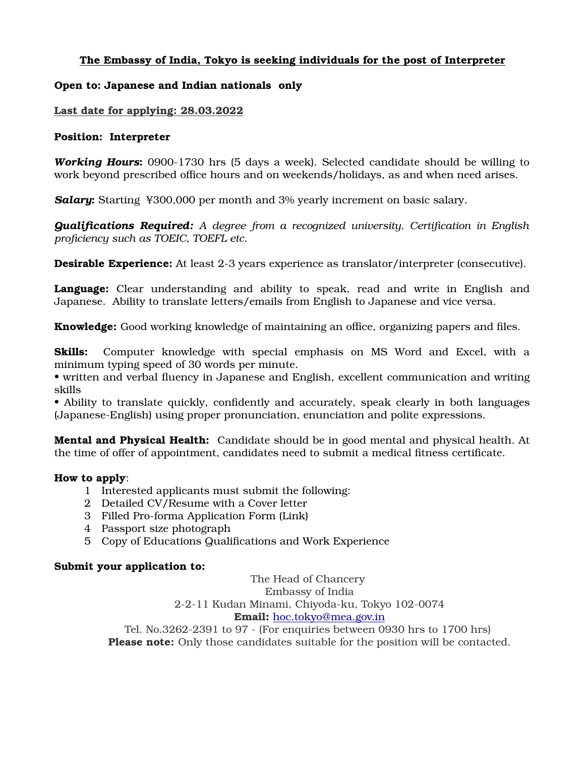### The Embassy of India, Tokyo is seeking individuals for the post of Interpreter

#### Open to: Japanese and Indian nationals only

#### Last date for applying: 28.03.2022

#### Position: Interpreter

*Working Hours*: 0900-1730 hrs (5 days a week). Selected candidate should be willing to work beyond prescribed office hours and on weekends/holidays, as and when need arises.

**Salary:** Starting ¥300,000 per month and 3% yearly increment on basic salary.

*Qualifications Required: A degree from a recognized university. Certification in English proficiency such as TOEIC, TOEFL etc.* 

**Desirable Experience:** At least 2-3 years experience as translator/interpreter (consecutive).

Language: Clear understanding and ability to speak, read and write in English and Japanese. Ability to translate letters/emails from English to Japanese and vice versa.

**Knowledge:** Good working knowledge of maintaining an office, organizing papers and files.

Skills: Computer knowledge with special emphasis on MS Word and Excel, with a minimum typing speed of 30 words per minute.

• written and verbal fluency in Japanese and English, excellent communication and writing skills

• Ability to translate quickly, confidently and accurately, speak clearly in both languages (Japanese-English) using proper pronunciation, enunciation and polite expressions.

**Mental and Physical Health:** Candidate should be in good mental and physical health. At the time of offer of appointment, candidates need to submit a medical fitness certificate.

#### How to apply:

- 1 Interested applicants must submit the following:
- 2 Detailed CV/Resume with a Cover letter
- 3 Filled Pro-forma Application Form (Link)
- 4 Passport size photograph
- 5 Copy of Educations Qualifications and Work Experience

#### Submit your application to:

The Head of Chancery Embassy of India 2-2-11 Kudan Minami, Chiyoda-ku, Tokyo 102-0074 Email: [hoc.tokyo@mea.gov.in](mailto:hoc.tokyo@mea.gov.in)

Tel. No.3262-2391 to 97 - (For enquiries between 0930 hrs to 1700 hrs) Please note: Only those candidates suitable for the position will be contacted.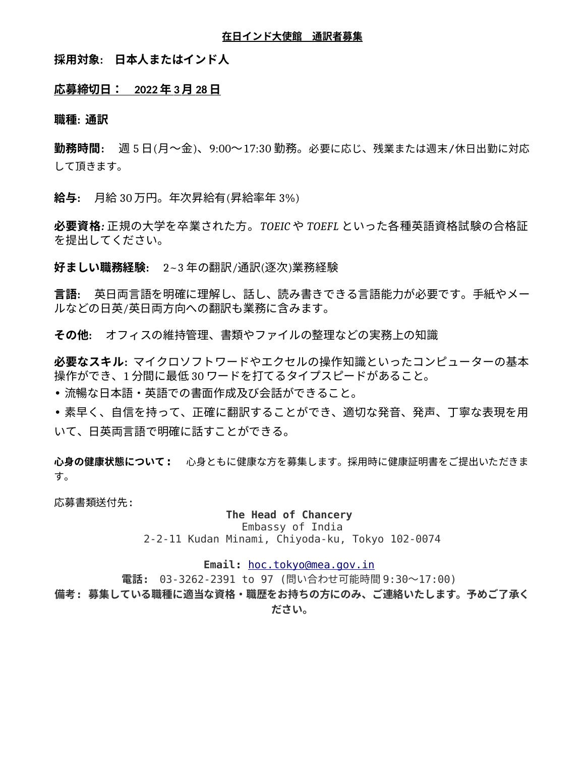#### **在日インド大使館 通訳者募集**

### **採用対象: 日本人またはインド人**

#### **応募締切日: 202 2 年 3 月 28 日**

**職種: 通訳**

**勤務時間:** 週 5 日(月~金)、9:00~17:30 勤務。必要に応じ、残業または週末/休日出勤に対応 して頂きます。

**給与:** 月給 30 万円。年次昇給有(昇給率年 3%)

**必要資格***:* 正規の大学を卒業された方。*TOEIC* や *TOEFL* といった各種英語資格試験の合格証 を提出してください。

**好ましい職務経験:** 2~3 年の翻訳/通訳(逐次)業務経験

**言語:** 英日両言語を明確に理解し、話し、読み書きできる言語能力が必要です。手紙やメー ルなどの日英/英日両方向への翻訳も業務に含みます。

**その他:** オフィスの維持管理、書類やファイルの整理などの実務上の知識

**必要なスキル:** マイクロソフトワードやエクセルの操作知識といったコンピューターの基本 操作ができ、1 分間に最低 30 ワードを打てるタイプスピードがあること。

• 流暢な日本語・英語での書面作成及び会話ができること。

• 素早く、自信を持って、正確に翻訳することができ、適切な発音、発声、丁寧な表現を用 いて、日英両言語で明確に話すことができる。

**心身の健康状態について:** 心身ともに健康な方を募集します。採用時に健康証明書をご提出いただきま す。

応募書類送付先:

#### **The Head of Chancery**

Embassy of India 2-2-11 Kudan Minami, Chiyoda-ku, Tokyo 102-0074

### Email: [hoc.tokyo@mea.gov.in](mailto:hoc.tokyo@mea.gov.in)

**電話:** 03-3262-2391 to 97 (問い合わせ可能時間 9:30~17:00)

**備考: 募集している職種に適当な資格・職歴をお持ちの方にのみ、ご連絡いたします。予めご了承く**

**ださい。**